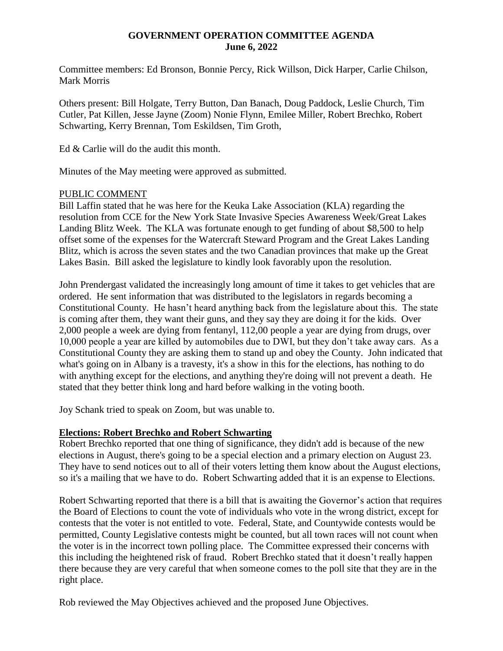## **GOVERNMENT OPERATION COMMITTEE AGENDA June 6, 2022**

Committee members: Ed Bronson, Bonnie Percy, Rick Willson, Dick Harper, Carlie Chilson, Mark Morris

Others present: Bill Holgate, Terry Button, Dan Banach, Doug Paddock, Leslie Church, Tim Cutler, Pat Killen, Jesse Jayne (Zoom) Nonie Flynn, Emilee Miller, Robert Brechko, Robert Schwarting, Kerry Brennan, Tom Eskildsen, Tim Groth,

Ed & Carlie will do the audit this month.

Minutes of the May meeting were approved as submitted.

### PUBLIC COMMENT

Bill Laffin stated that he was here for the Keuka Lake Association (KLA) regarding the resolution from CCE for the New York State Invasive Species Awareness Week/Great Lakes Landing Blitz Week. The KLA was fortunate enough to get funding of about \$8,500 to help offset some of the expenses for the Watercraft Steward Program and the Great Lakes Landing Blitz, which is across the seven states and the two Canadian provinces that make up the Great Lakes Basin. Bill asked the legislature to kindly look favorably upon the resolution.

John Prendergast validated the increasingly long amount of time it takes to get vehicles that are ordered. He sent information that was distributed to the legislators in regards becoming a Constitutional County. He hasn't heard anything back from the legislature about this. The state is coming after them, they want their guns, and they say they are doing it for the kids. Over 2,000 people a week are dying from fentanyl, 112,00 people a year are dying from drugs, over 10,000 people a year are killed by automobiles due to DWI, but they don't take away cars. As a Constitutional County they are asking them to stand up and obey the County. John indicated that what's going on in Albany is a travesty, it's a show in this for the elections, has nothing to do with anything except for the elections, and anything they're doing will not prevent a death. He stated that they better think long and hard before walking in the voting booth.

Joy Schank tried to speak on Zoom, but was unable to.

# **Elections: Robert Brechko and Robert Schwarting**

Robert Brechko reported that one thing of significance, they didn't add is because of the new elections in August, there's going to be a special election and a primary election on August 23. They have to send notices out to all of their voters letting them know about the August elections, so it's a mailing that we have to do. Robert Schwarting added that it is an expense to Elections.

Robert Schwarting reported that there is a bill that is awaiting the Governor's action that requires the Board of Elections to count the vote of individuals who vote in the wrong district, except for contests that the voter is not entitled to vote. Federal, State, and Countywide contests would be permitted, County Legislative contests might be counted, but all town races will not count when the voter is in the incorrect town polling place. The Committee expressed their concerns with this including the heightened risk of fraud. Robert Brechko stated that it doesn't really happen there because they are very careful that when someone comes to the poll site that they are in the right place.

Rob reviewed the May Objectives achieved and the proposed June Objectives.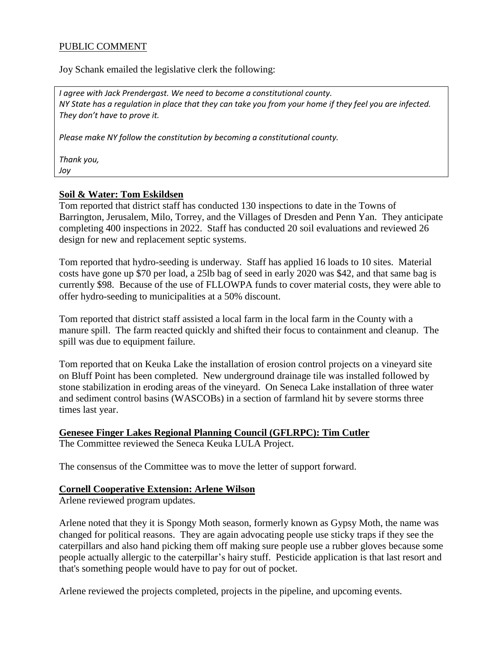# PUBLIC COMMENT

Joy Schank emailed the legislative clerk the following:

*I agree with Jack Prendergast. We need to become a constitutional county. NY State has a regulation in place that they can take you from your home if they feel you are infected. They don't have to prove it.*

*Please make NY follow the constitution by becoming a constitutional county.*

*Thank you, Joy*

**Soil & Water: Tom Eskildsen** Tom reported that district staff has conducted 130 inspections to date in the Towns of Barrington, Jerusalem, Milo, Torrey, and the Villages of Dresden and Penn Yan. They anticipate completing 400 inspections in 2022. Staff has conducted 20 soil evaluations and reviewed 26 design for new and replacement septic systems.

Tom reported that hydro-seeding is underway. Staff has applied 16 loads to 10 sites. Material costs have gone up \$70 per load, a 25lb bag of seed in early 2020 was \$42, and that same bag is currently \$98. Because of the use of FLLOWPA funds to cover material costs, they were able to offer hydro-seeding to municipalities at a 50% discount.

Tom reported that district staff assisted a local farm in the local farm in the County with a manure spill. The farm reacted quickly and shifted their focus to containment and cleanup. The spill was due to equipment failure.

Tom reported that on Keuka Lake the installation of erosion control projects on a vineyard site on Bluff Point has been completed. New underground drainage tile was installed followed by stone stabilization in eroding areas of the vineyard. On Seneca Lake installation of three water and sediment control basins (WASCOBs) in a section of farmland hit by severe storms three times last year.

# **Genesee Finger Lakes Regional Planning Council (GFLRPC): Tim Cutler**

The Committee reviewed the Seneca Keuka LULA Project.

The consensus of the Committee was to move the letter of support forward.

### **Cornell Cooperative Extension: Arlene Wilson**

Arlene reviewed program updates.

Arlene noted that they it is Spongy Moth season, formerly known as Gypsy Moth, the name was changed for political reasons. They are again advocating people use sticky traps if they see the caterpillars and also hand picking them off making sure people use a rubber gloves because some people actually allergic to the caterpillar's hairy stuff. Pesticide application is that last resort and that's something people would have to pay for out of pocket.

Arlene reviewed the projects completed, projects in the pipeline, and upcoming events.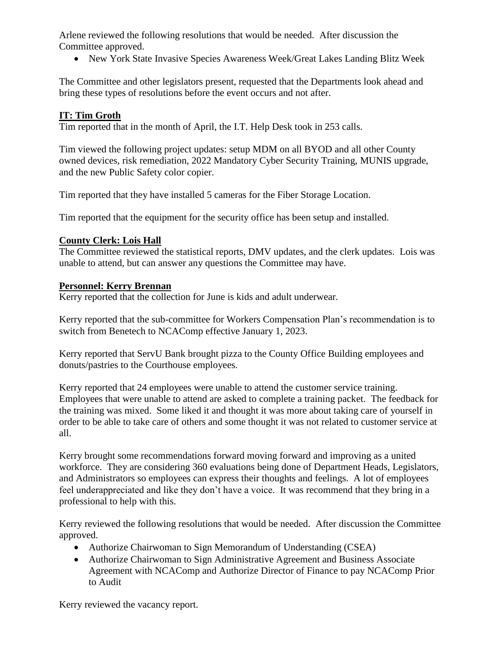Arlene reviewed the following resolutions that would be needed. After discussion the Committee approved.

New York State Invasive Species Awareness Week/Great Lakes Landing Blitz Week

The Committee and other legislators present, requested that the Departments look ahead and bring these types of resolutions before the event occurs and not after.

# **IT: Tim Groth**

Tim reported that in the month of April, the I.T. Help Desk took in 253 calls.

Tim viewed the following project updates: setup MDM on all BYOD and all other County owned devices, risk remediation, 2022 Mandatory Cyber Security Training, MUNIS upgrade, and the new Public Safety color copier.

Tim reported that they have installed 5 cameras for the Fiber Storage Location.

Tim reported that the equipment for the security office has been setup and installed.

# **County Clerk: Lois Hall**

The Committee reviewed the statistical reports, DMV updates, and the clerk updates. Lois was unable to attend, but can answer any questions the Committee may have.

# **Personnel: Kerry Brennan**

Kerry reported that the collection for June is kids and adult underwear.

Kerry reported that the sub-committee for Workers Compensation Plan's recommendation is to switch from Benetech to NCAComp effective January 1, 2023.

Kerry reported that ServU Bank brought pizza to the County Office Building employees and donuts/pastries to the Courthouse employees.

Kerry reported that 24 employees were unable to attend the customer service training. Employees that were unable to attend are asked to complete a training packet. The feedback for the training was mixed. Some liked it and thought it was more about taking care of yourself in order to be able to take care of others and some thought it was not related to customer service at all.

Kerry brought some recommendations forward moving forward and improving as a united workforce. They are considering 360 evaluations being done of Department Heads, Legislators, and Administrators so employees can express their thoughts and feelings. A lot of employees feel underappreciated and like they don't have a voice. It was recommend that they bring in a professional to help with this.

Kerry reviewed the following resolutions that would be needed. After discussion the Committee approved.

- Authorize Chairwoman to Sign Memorandum of Understanding (CSEA)
- Authorize Chairwoman to Sign Administrative Agreement and Business Associate Agreement with NCAComp and Authorize Director of Finance to pay NCAComp Prior to Audit

Kerry reviewed the vacancy report.